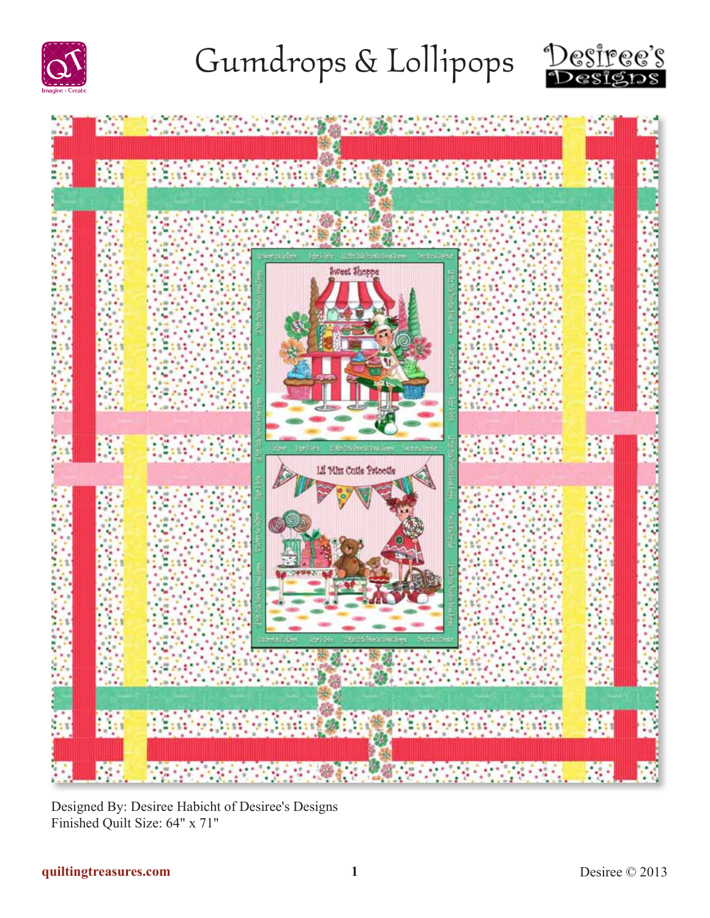





Designed By: Desiree Habicht of Desiree's Designs Finished Quilt Size: 64" x 71"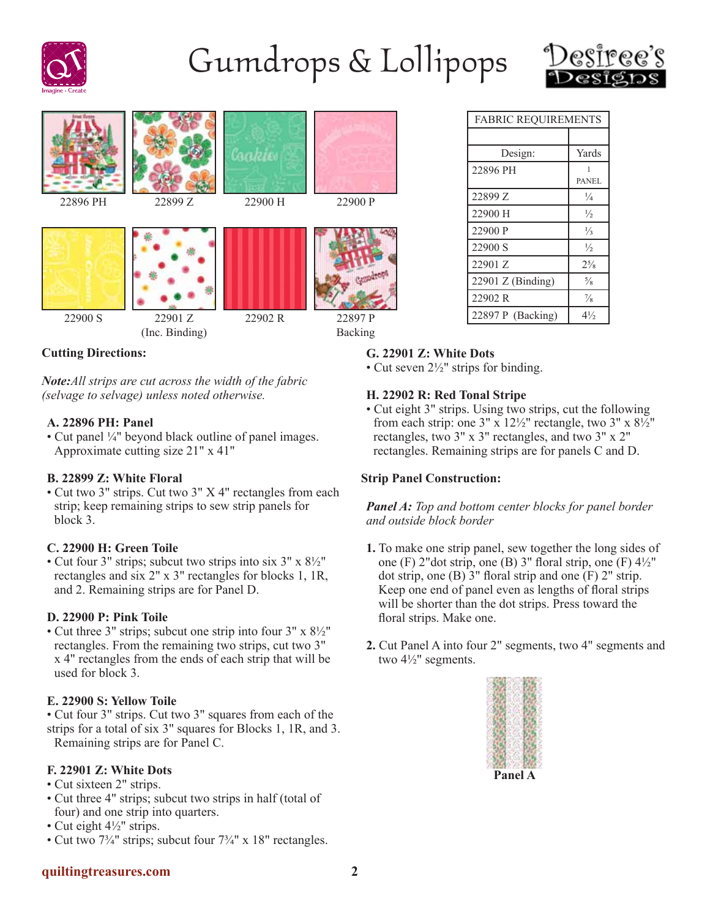





### **Cutting Directions:**

*Note:All strips are cut across the width of the fabric (selvage to selvage) unless noted otherwise.*

#### **A. 22896 PH: Panel**

• Cut panel ¼" beyond black outline of panel images. Approximate cutting size 21" x 41"

#### **B. 22899 Z: White Floral**

• Cut two 3" strips. Cut two 3" X 4" rectangles from each strip; keep remaining strips to sew strip panels for block 3.

#### **C. 22900 H: Green Toile**

• Cut four 3" strips; subcut two strips into six 3" x 8½" rectangles and six 2" x 3" rectangles for blocks 1, 1R, and 2. Remaining strips are for Panel D.

#### **D. 22900 P: Pink Toile**

• Cut three 3" strips; subcut one strip into four 3" x 8½" rectangles. From the remaining two strips, cut two 3" x 4" rectangles from the ends of each strip that will be used for block 3.

#### **E. 22900 S: Yellow Toile**

• Cut four 3" strips. Cut two 3" squares from each of the strips for a total of six 3" squares for Blocks 1, 1R, and 3. Remaining strips are for Panel C.

#### **F. 22901 Z: White Dots**

- Cut sixteen 2" strips.
- Cut three 4" strips; subcut two strips in half (total of four) and one strip into quarters.
- Cut eight 4½" strips.
- Cut two 7<sup>3</sup>/<sub>4</sub>" strips; subcut four 7<sup>3</sup>/<sub>4</sub>" x 18" rectangles.

### FABRIC REQUIREMENTS Design: Yards 22896 PH 1 PANEL 22899 Z  $\frac{1}{4}$ 22900 H  $\frac{1}{2}$ 22900 P  $\frac{1}{3}$ 22900 S  $\frac{1}{2}$ 22901 Z  $2^{5}/_8$ 22901 Z (Binding)  $\frac{5}{8}$ 22902 R  $\frac{7}{8}$ 22897 P (Backing) 4½

#### **G. 22901 Z: White Dots**

• Cut seven  $2\frac{1}{2}$ " strips for binding.

#### **H. 22902 R: Red Tonal Stripe**

• Cut eight 3" strips. Using two strips, cut the following from each strip: one 3" x  $12\frac{1}{2}$ " rectangle, two 3" x  $8\frac{1}{2}$ " rectangles, two 3" x 3" rectangles, and two 3" x 2" rectangles. Remaining strips are for panels C and D.

#### **Strip Panel Construction:**

*Panel A: Top and bottom center blocks for panel border and outside block border*

- **1.** To make one strip panel, sew together the long sides of one (F) 2"dot strip, one (B) 3" floral strip, one (F)  $4\frac{1}{2}$ " dot strip, one  $(B)$  3" floral strip and one  $(F)$  2" strip. Keep one end of panel even as lengths of floral strips will be shorter than the dot strips. Press toward the floral strips. Make one.
- **2.** Cut Panel A into four 2" segments, two 4" segments and two 4½" segments.

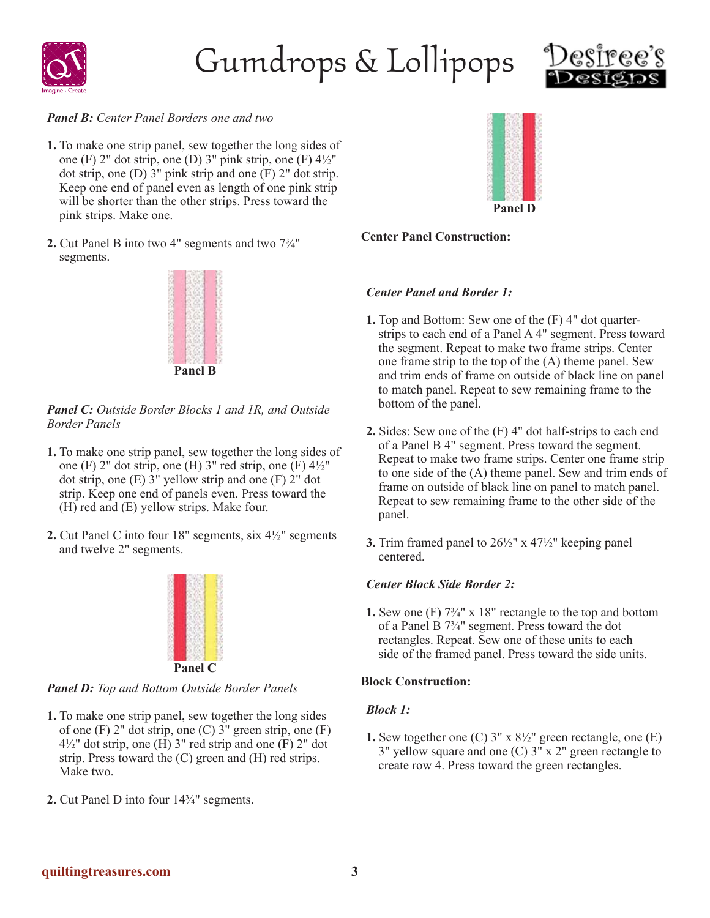



#### *Panel B: Center Panel Borders one and two*

- **1.** To make one strip panel, sew together the long sides of one (F) 2" dot strip, one (D) 3" pink strip, one (F)  $4\frac{1}{2}$ " dot strip, one (D)  $3$ " pink strip and one  $(F)$  2" dot strip. Keep one end of panel even as length of one pink strip will be shorter than the other strips. Press toward the pink strips. Make one.
- **2.** Cut Panel B into two 4" segments and two 7¾" segments.



*Panel C: Outside Border Blocks 1 and 1R, and Outside Border Panels*

- **1.** To make one strip panel, sew together the long sides of one (F) 2" dot strip, one (H) 3" red strip, one (F)  $4\frac{1}{2}$ " dot strip, one  $(E)$  3" yellow strip and one  $(F)$  2" dot strip. Keep one end of panels even. Press toward the (H) red and (E) yellow strips. Make four.
- **2.** Cut Panel C into four 18" segments, six 4½" segments and twelve 2" segments.



*Panel D: Top and Bottom Outside Border Panels*

- **1.** To make one strip panel, sew together the long sides of one  $(F)$  2" dot strip, one  $(C)$  3" green strip, one  $(F)$  $4\frac{1}{2}$ " dot strip, one (H) 3" red strip and one (F) 2" dot strip. Press toward the (C) green and (H) red strips. Make two.
- **2.** Cut Panel D into four 14¾" segments.



#### **Center Panel Construction:**

#### *Center Panel and Border 1:*

- **1.** Top and Bottom: Sew one of the (F) 4" dot quarterstrips to each end of a Panel A 4" segment. Press toward the segment. Repeat to make two frame strips. Center one frame strip to the top of the (A) theme panel. Sew and trim ends of frame on outside of black line on panel to match panel. Repeat to sew remaining frame to the bottom of the panel.
- **2.** Sides: Sew one of the (F) 4" dot half-strips to each end of a Panel B 4" segment. Press toward the segment. Repeat to make two frame strips. Center one frame strip to one side of the (A) theme panel. Sew and trim ends of frame on outside of black line on panel to match panel. Repeat to sew remaining frame to the other side of the panel.
- **3.** Trim framed panel to 26½" x 47½" keeping panel centered.

#### *Center Block Side Border 2:*

**1.** Sew one (F) 7¾" x 18" rectangle to the top and bottom of a Panel B 7¾" segment. Press toward the dot rectangles. Repeat. Sew one of these units to each side of the framed panel. Press toward the side units.

#### **Block Construction:**

#### *Block 1:*

**1.** Sew together one (C) 3" x 8½" green rectangle, one (E) 3" yellow square and one (C) 3" x 2" green rectangle to create row 4. Press toward the green rectangles.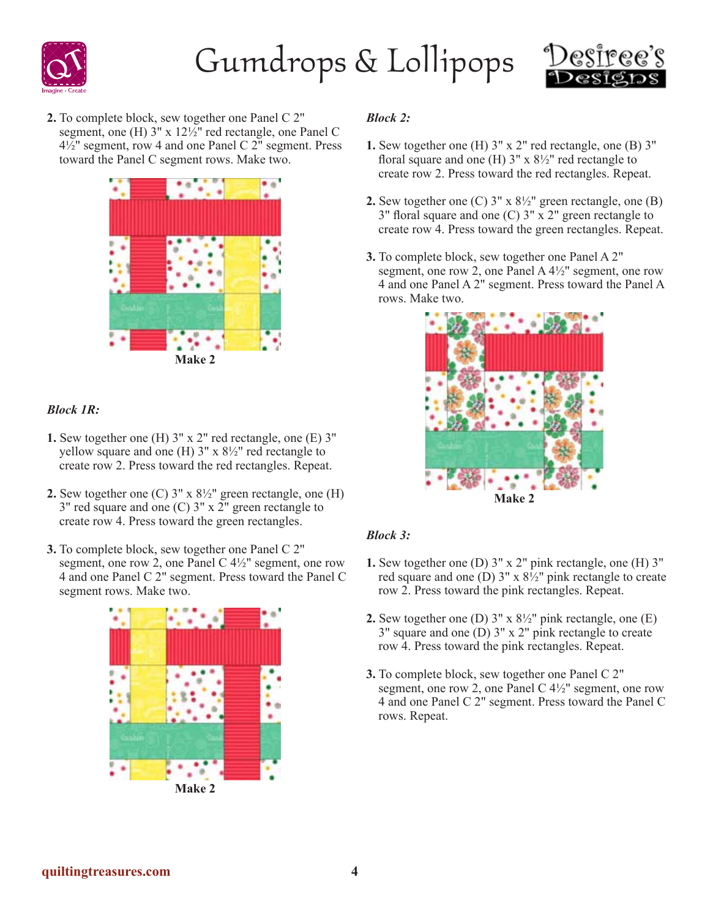



**2.** To complete block, sew together one Panel C 2" segment, one (H) 3" x 12½" red rectangle, one Panel C  $4\frac{1}{2}$ " segment, row 4 and one Panel C 2" segment. Press toward the Panel C segment rows. Make two.



#### *Block 1R:*

- **1.** Sew together one (H) 3" x 2" red rectangle, one (E) 3" yellow square and one (H)  $3'' \times 8\frac{1}{2}$  red rectangle to create row 2. Press toward the red rectangles. Repeat.
- **2.** Sew together one  $(C)$  3" x  $8\frac{1}{2}$ " green rectangle, one  $(H)$  $3''$  red square and one (C)  $3''$  x  $2''$  green rectangle to create row 4. Press toward the green rectangles.
- **3.** To complete block, sew together one Panel C 2" segment, one row 2, one Panel C  $4\frac{1}{2}$ " segment, one row 4 and one Panel C 2" segment. Press toward the Panel C segment rows. Make two.



**Make 2**

#### *Block 2:*

- **1.** Sew together one (H) 3" x 2" red rectangle, one (B) 3" floral square and one (H)  $3''$  x  $8\frac{1}{2}$ " red rectangle to create row 2. Press toward the red rectangles. Repeat.
- **2.** Sew together one (C) 3" x 8½" green rectangle, one (B) 3" floral square and one (C) 3" x 2" green rectangle to create row 4. Press toward the green rectangles. Repeat.
- **3.** To complete block, sew together one Panel A 2" segment, one row 2, one Panel A 4½" segment, one row 4 and one Panel A 2" segment. Press toward the Panel A rows. Make two.



#### *Block 3:*

- **1.** Sew together one (D) 3" x 2" pink rectangle, one (H) 3" red square and one (D)  $3'' \times 8\frac{1}{2}$  pink rectangle to create row 2. Press toward the pink rectangles. Repeat.
- **2.** Sew together one (D) 3" x 8½" pink rectangle, one (E) 3" square and one (D) 3" x 2" pink rectangle to create row 4. Press toward the pink rectangles. Repeat.
- **3.** To complete block, sew together one Panel C 2" segment, one row 2, one Panel C 4½" segment, one row 4 and one Panel C 2" segment. Press toward the Panel C rows. Repeat.